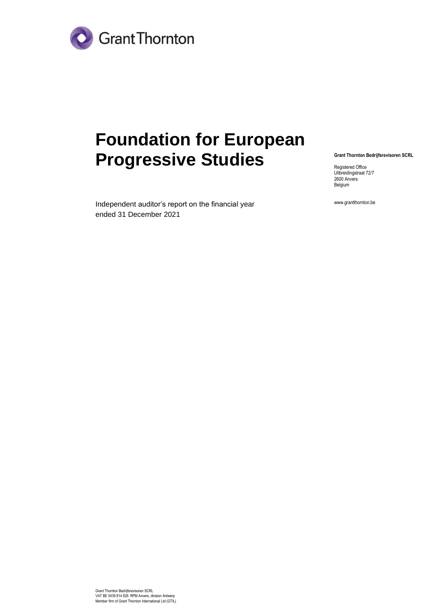

# **Foundation for European Progressive Studies**

**Grant Thornton Bedrijfsrevisoren SCRL**

Registered Office Uitbreidingstraat 72/7 2600 Anvers Belgium

Independent auditor's report on the financial year ended 31 December 2021

www.grantthornton.be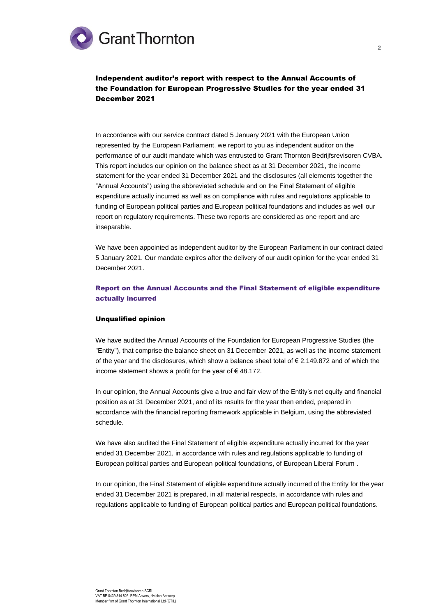# **Grant Thornton**

Independent auditor's report with respect to the Annual Accounts of the Foundation for European Progressive Studies for the year ended 31 December 2021

In accordance with our service contract dated 5 January 2021 with the European Union represented by the European Parliament, we report to you as independent auditor on the performance of our audit mandate which was entrusted to Grant Thornton Bedrijfsrevisoren CVBA. This report includes our opinion on the balance sheet as at 31 December 2021, the income statement for the year ended 31 December 2021 and the disclosures (all elements together the "Annual Accounts") using the abbreviated schedule and on the Final Statement of eligible expenditure actually incurred as well as on compliance with rules and regulations applicable to funding of European political parties and European political foundations and includes as well our report on regulatory requirements. These two reports are considered as one report and are inseparable.

We have been appointed as independent auditor by the European Parliament in our contract dated 5 January 2021. Our mandate expires after the delivery of our audit opinion for the year ended 31 December 2021.

## Report on the Annual Accounts and the Final Statement of eligible expenditure actually incurred

## Unqualified opinion

We have audited the Annual Accounts of the Foundation for European Progressive Studies (the "Entity"), that comprise the balance sheet on 31 December 2021, as well as the income statement of the year and the disclosures, which show a balance sheet total of  $\epsilon$  2.149.872 and of which the income statement shows a profit for the year of  $\epsilon$  48.172.

In our opinion, the Annual Accounts give a true and fair view of the Entity's net equity and financial position as at 31 December 2021, and of its results for the year then ended, prepared in accordance with the financial reporting framework applicable in Belgium, using the abbreviated schedule.

We have also audited the Final Statement of eligible expenditure actually incurred for the year ended 31 December 2021, in accordance with rules and regulations applicable to funding of European political parties and European political foundations, of European Liberal Forum .

In our opinion, the Final Statement of eligible expenditure actually incurred of the Entity for the year ended 31 December 2021 is prepared, in all material respects, in accordance with rules and regulations applicable to funding of European political parties and European political foundations.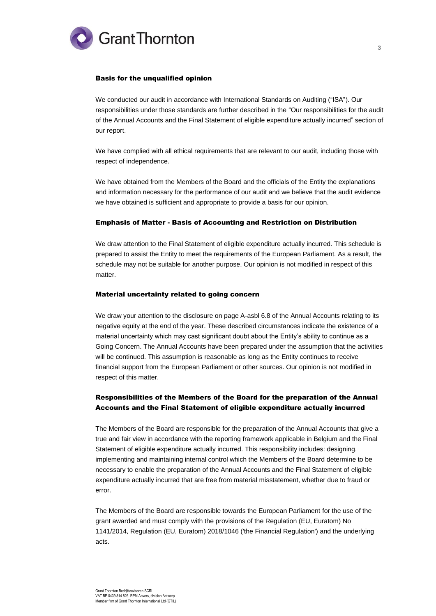

## Basis for the unqualified opinion

We conducted our audit in accordance with International Standards on Auditing ("ISA"). Our responsibilities under those standards are further described in the "Our responsibilities for the audit of the Annual Accounts and the Final Statement of eligible expenditure actually incurred" section of our report.

We have complied with all ethical requirements that are relevant to our audit, including those with respect of independence.

We have obtained from the Members of the Board and the officials of the Entity the explanations and information necessary for the performance of our audit and we believe that the audit evidence we have obtained is sufficient and appropriate to provide a basis for our opinion.

## Emphasis of Matter - Basis of Accounting and Restriction on Distribution

We draw attention to the Final Statement of eligible expenditure actually incurred. This schedule is prepared to assist the Entity to meet the requirements of the European Parliament. As a result, the schedule may not be suitable for another purpose. Our opinion is not modified in respect of this matter.

### Material uncertainty related to going concern

We draw your attention to the disclosure on page A-asbl 6.8 of the Annual Accounts relating to its negative equity at the end of the year. These described circumstances indicate the existence of a material uncertainty which may cast significant doubt about the Entity's ability to continue as a Going Concern. The Annual Accounts have been prepared under the assumption that the activities will be continued. This assumption is reasonable as long as the Entity continues to receive financial support from the European Parliament or other sources. Our opinion is not modified in respect of this matter.

## Responsibilities of the Members of the Board for the preparation of the Annual Accounts and the Final Statement of eligible expenditure actually incurred

The Members of the Board are responsible for the preparation of the Annual Accounts that give a true and fair view in accordance with the reporting framework applicable in Belgium and the Final Statement of eligible expenditure actually incurred. This responsibility includes: designing, implementing and maintaining internal control which the Members of the Board determine to be necessary to enable the preparation of the Annual Accounts and the Final Statement of eligible expenditure actually incurred that are free from material misstatement, whether due to fraud or error.

The Members of the Board are responsible towards the European Parliament for the use of the grant awarded and must comply with the provisions of the Regulation (EU, Euratom) No 1141/2014, Regulation (EU, Euratom) 2018/1046 ('the Financial Regulation') and the underlying acts.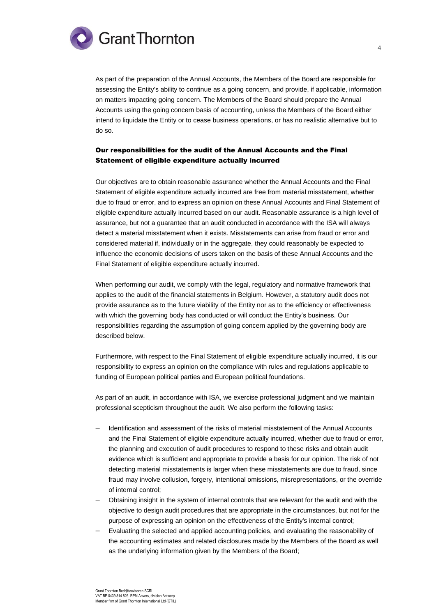

As part of the preparation of the Annual Accounts, the Members of the Board are responsible for assessing the Entity's ability to continue as a going concern, and provide, if applicable, information on matters impacting going concern. The Members of the Board should prepare the Annual Accounts using the going concern basis of accounting, unless the Members of the Board either intend to liquidate the Entity or to cease business operations, or has no realistic alternative but to do so.

## Our responsibilities for the audit of the Annual Accounts and the Final Statement of eligible expenditure actually incurred

Our objectives are to obtain reasonable assurance whether the Annual Accounts and the Final Statement of eligible expenditure actually incurred are free from material misstatement, whether due to fraud or error, and to express an opinion on these Annual Accounts and Final Statement of eligible expenditure actually incurred based on our audit. Reasonable assurance is a high level of assurance, but not a guarantee that an audit conducted in accordance with the ISA will always detect a material misstatement when it exists. Misstatements can arise from fraud or error and considered material if, individually or in the aggregate, they could reasonably be expected to influence the economic decisions of users taken on the basis of these Annual Accounts and the Final Statement of eligible expenditure actually incurred.

When performing our audit, we comply with the legal, regulatory and normative framework that applies to the audit of the financial statements in Belgium. However, a statutory audit does not provide assurance as to the future viability of the Entity nor as to the efficiency or effectiveness with which the governing body has conducted or will conduct the Entity's business. Our responsibilities regarding the assumption of going concern applied by the governing body are described below.

Furthermore, with respect to the Final Statement of eligible expenditure actually incurred, it is our responsibility to express an opinion on the compliance with rules and regulations applicable to funding of European political parties and European political foundations.

As part of an audit, in accordance with ISA, we exercise professional judgment and we maintain professional scepticism throughout the audit. We also perform the following tasks:

- − Identification and assessment of the risks of material misstatement of the Annual Accounts and the Final Statement of eligible expenditure actually incurred, whether due to fraud or error, the planning and execution of audit procedures to respond to these risks and obtain audit evidence which is sufficient and appropriate to provide a basis for our opinion. The risk of not detecting material misstatements is larger when these misstatements are due to fraud, since fraud may involve collusion, forgery, intentional omissions, misrepresentations, or the override of internal control;
- − Obtaining insight in the system of internal controls that are relevant for the audit and with the objective to design audit procedures that are appropriate in the circumstances, but not for the purpose of expressing an opinion on the effectiveness of the Entity's internal control;
- Evaluating the selected and applied accounting policies, and evaluating the reasonability of the accounting estimates and related disclosures made by the Members of the Board as well as the underlying information given by the Members of the Board;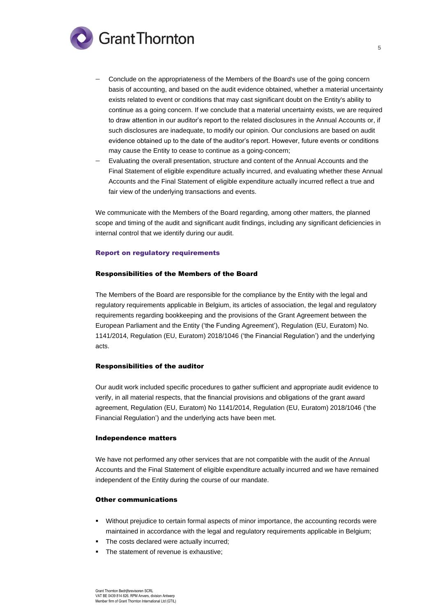

- − Conclude on the appropriateness of the Members of the Board's use of the going concern basis of accounting, and based on the audit evidence obtained, whether a material uncertainty exists related to event or conditions that may cast significant doubt on the Entity's ability to continue as a going concern. If we conclude that a material uncertainty exists, we are required to draw attention in our auditor's report to the related disclosures in the Annual Accounts or, if such disclosures are inadequate, to modify our opinion. Our conclusions are based on audit evidence obtained up to the date of the auditor's report. However, future events or conditions may cause the Entity to cease to continue as a going-concern;
- Evaluating the overall presentation, structure and content of the Annual Accounts and the Final Statement of eligible expenditure actually incurred, and evaluating whether these Annual Accounts and the Final Statement of eligible expenditure actually incurred reflect a true and fair view of the underlying transactions and events.

We communicate with the Members of the Board regarding, among other matters, the planned scope and timing of the audit and significant audit findings, including any significant deficiencies in internal control that we identify during our audit.

#### Report on regulatory requirements

#### Responsibilities of the Members of the Board

The Members of the Board are responsible for the compliance by the Entity with the legal and regulatory requirements applicable in Belgium, its articles of association, the legal and regulatory requirements regarding bookkeeping and the provisions of the Grant Agreement between the European Parliament and the Entity ('the Funding Agreement'), Regulation (EU, Euratom) No. 1141/2014, Regulation (EU, Euratom) 2018/1046 ('the Financial Regulation') and the underlying acts.

#### Responsibilities of the auditor

Our audit work included specific procedures to gather sufficient and appropriate audit evidence to verify, in all material respects, that the financial provisions and obligations of the grant award agreement, Regulation (EU, Euratom) No 1141/2014, Regulation (EU, Euratom) 2018/1046 ('the Financial Regulation') and the underlying acts have been met.

#### Independence matters

We have not performed any other services that are not compatible with the audit of the Annual Accounts and the Final Statement of eligible expenditure actually incurred and we have remained independent of the Entity during the course of our mandate.

#### Other communications

- Without prejudice to certain formal aspects of minor importance, the accounting records were maintained in accordance with the legal and regulatory requirements applicable in Belgium;
- The costs declared were actually incurred:
- **•** The statement of revenue is exhaustive: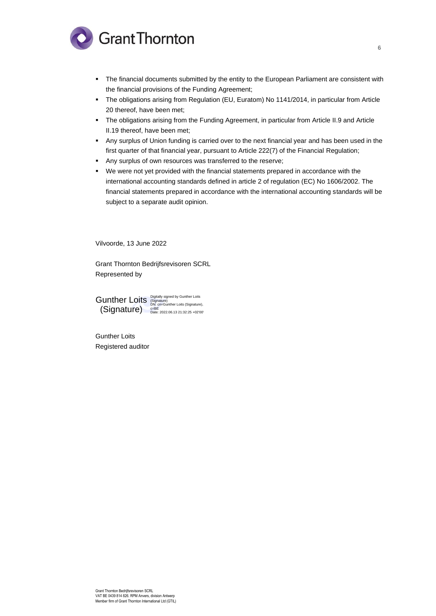

- The financial documents submitted by the entity to the European Parliament are consistent with the financial provisions of the Funding Agreement;
- The obligations arising from Regulation (EU, Euratom) No 1141/2014, in particular from Article 20 thereof, have been met;
- The obligations arising from the Funding Agreement, in particular from Article II.9 and Article II.19 thereof, have been met;
- Any surplus of Union funding is carried over to the next financial year and has been used in the first quarter of that financial year, pursuant to Article 222(7) of the Financial Regulation;
- Any surplus of own resources was transferred to the reserve;
- We were not yet provided with the financial statements prepared in accordance with the international accounting standards defined in article 2 of regulation (EC) No 1606/2002. The financial statements prepared in accordance with the international accounting standards will be subject to a separate audit opinion.

Vilvoorde, 13 June 2022

Grant Thornton Bedrijfsrevisoren SCRL Represented by

Digitally signed by Gunther Loits (Signature) DN: cn=Gunther Loits (Signature), c=BE Date: 2022.06.13 21:32:25 +02'00' Gunther Loits (Signature)

Gunther Loits Registered auditor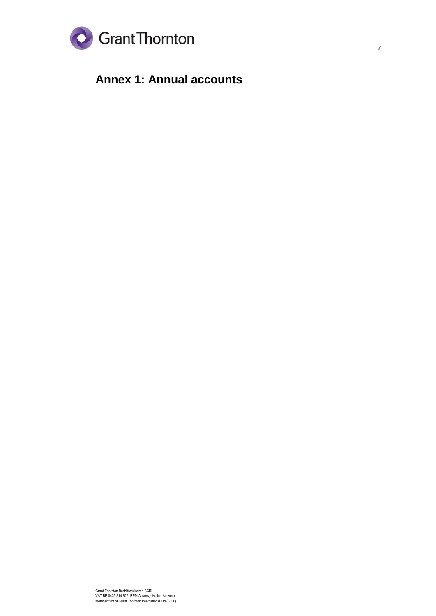

# **Annex 1: Annual accounts**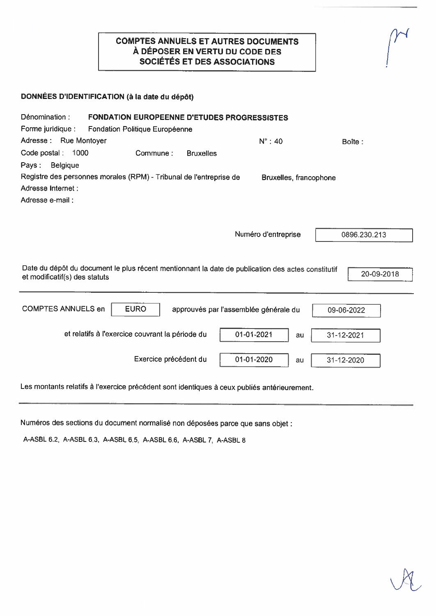# **COMPTES ANNUELS ET AUTRES DOCUMENTS** À DÉPOSER EN VERTU DU CODE DES SOCIÉTÉS ET DES ASSOCIATIONS

| DONNÉES D'IDENTIFICATION (à la date du dépôt) |  |  |
|-----------------------------------------------|--|--|
|                                               |  |  |

| Dénomination :<br><b>FONDATION EUROPEENNE D'ETUDES PROGRESSISTES</b><br>Forme juridique :<br><b>Fondation Politique Européenne</b> |  |                                                 |                  |                                       |                        |    |              |            |
|------------------------------------------------------------------------------------------------------------------------------------|--|-------------------------------------------------|------------------|---------------------------------------|------------------------|----|--------------|------------|
| Adresse :<br><b>Rue Montoyer</b>                                                                                                   |  |                                                 |                  |                                       | $N^{\circ}$ : 40       |    | Boîte:       |            |
| Code postal: 1000<br><b>Belgique</b><br>Pays:                                                                                      |  | Commune:                                        | <b>Bruxelles</b> |                                       |                        |    |              |            |
| Registre des personnes morales (RPM) - Tribunal de l'entreprise de<br>Adresse Internet:<br>Adresse e-mail:                         |  |                                                 |                  |                                       | Bruxelles, francophone |    |              |            |
|                                                                                                                                    |  |                                                 |                  |                                       | Numéro d'entreprise    |    | 0896.230.213 |            |
| Date du dépôt du document le plus récent mentionnant la date de publication des actes constitutif<br>et modificatif(s) des statuts |  |                                                 |                  |                                       |                        |    |              | 20-09-2018 |
| <b>COMPTES ANNUELS en</b>                                                                                                          |  | <b>EURO</b>                                     |                  | approuvés par l'assemblée générale du |                        |    | 09-06-2022   |            |
|                                                                                                                                    |  | et relatifs à l'exercice couvrant la période du |                  | 01-01-2021                            |                        | au | 31-12-2021   |            |
|                                                                                                                                    |  | Exercice précédent du                           |                  | 01-01-2020                            |                        | au | 31-12-2020   |            |

Les montants relatifs à l'exercice précédent sont identiques à ceux publiés antérieurement.

Numéros des sections du document normalisé non déposées parce que sans objet :

A-ASBL 6.2, A-ASBL 6.3, A-ASBL 6.5, A-ASBL 6.6, A-ASBL 7, A-ASBL 8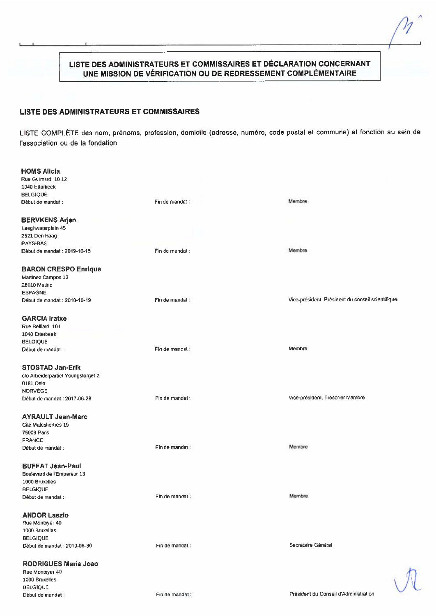# LISTE DES ADMINISTRATEURS ET COMMISSAIRES ET DÉCLARATION CONCERNANT UNE MISSION DE VÉRIFICATION OU DE REDRESSEMENT COMPLÉMENTAIRE

## **LISTE DES ADMINISTRATEURS ET COMMISSAIRES**

LISTE COMPLÈTE des nom, prénoms, profession, domicile (adresse, numéro, code postal et commune) et fonction au sein de l'association ou de la fondation

| <b>HOMS Alicia</b>                 |                 |                                                   |
|------------------------------------|-----------------|---------------------------------------------------|
| Rue Guimard 1012                   |                 |                                                   |
| 1040 Etterbeek                     |                 |                                                   |
|                                    |                 |                                                   |
| <b>BELGIQUE</b>                    |                 |                                                   |
| Début de mandat :                  | Fin de mandat : | Membre                                            |
| <b>BERVKENS Arjen</b>              |                 |                                                   |
|                                    |                 |                                                   |
| Leeghwaterplein 45                 |                 |                                                   |
| 2521 Den Haag                      |                 |                                                   |
| PAYS-BAS                           |                 |                                                   |
| Début de mandat : 2019-10-15       | Fin de mandat:  | Membre                                            |
| <b>BARON CRESPO Enrique</b>        |                 |                                                   |
| Martinez Campos 13                 |                 |                                                   |
|                                    |                 |                                                   |
| 28010 Madrid                       |                 |                                                   |
| <b>ESPAGNE</b>                     |                 |                                                   |
| Début de mandat : 2018-10-19       | Fin de mandat:  | Vice-président, Président du conseil scientifique |
| <b>GARCIA Iratxe</b>               |                 |                                                   |
| Rue Belliard 101                   |                 |                                                   |
| 1040 Etterbeek                     |                 |                                                   |
|                                    |                 |                                                   |
| <b>BELGIQUE</b>                    |                 |                                                   |
| Début de mandat :                  | Fin de mandat : | Membre                                            |
| <b>STOSTAD Jan-Erik</b>            |                 |                                                   |
| c/o Arbeiderpartiet Youngstorget 2 |                 |                                                   |
| 0181 Oslo                          |                 |                                                   |
| <b>NORVÈGE</b>                     |                 |                                                   |
|                                    |                 |                                                   |
| Début de mandat : 2017-06-28       | Fin de mandat : | Vice-président, Trésorier Membre                  |
| <b>AYRAULT Jean-Marc</b>           |                 |                                                   |
| Cité Malesherbes 19                |                 |                                                   |
| 75009 Paris                        |                 |                                                   |
|                                    |                 |                                                   |
| <b>FRANCE</b>                      |                 |                                                   |
| Début de mandat :                  | Fin de mandat : | Membre                                            |
| <b>BUFFAT Jean-Paul</b>            |                 |                                                   |
| Boulevard de l'Empereur 13         |                 |                                                   |
| 1000 Bruxelles                     |                 |                                                   |
| <b>BELGIQUE</b>                    |                 |                                                   |
| Début de mandat :                  | Fin de mandat : | Membre                                            |
|                                    |                 |                                                   |
| <b>ANDOR Laszlo</b>                |                 |                                                   |
| Rue Montoyer 40                    |                 |                                                   |
| 1000 Bruxelles                     |                 |                                                   |
| <b>BELGIQUE</b>                    |                 |                                                   |
| Début de mandat : 2019-06-30       | Fin de mandat : | Secrétaire Général                                |
| <b>RODRIGUES Maria Joao</b>        |                 |                                                   |
| Rue Montoyer 40                    |                 |                                                   |
| 1000 Bruxelles                     |                 |                                                   |
| <b>BELGIQUE</b>                    |                 |                                                   |
| Début de mandat :                  | Fin de mandat : | Président du Conseil d'Administration             |
|                                    |                 |                                                   |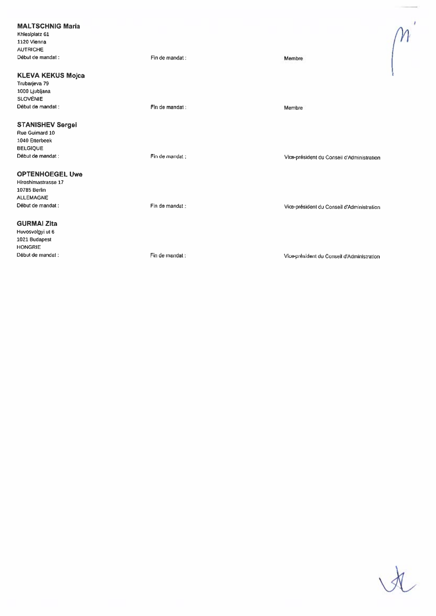#### **MALTSCHNIG Maria** Khlesiplatz 61 1120 Vienna **AUTRICHE** Début de mandat : Fin de mandat : Membre **KLEVA KEKUS Mojca** Trubarjeva 79 1000 Ljubljana **SLOVÉNIE** Début de mandat : Fin de mandat: Membre **STANISHEV Sergei** Rue Guimard 10 1040 Etterbeek **BELGIQUE** Début de mandat : Fin de mandat : Vice-président du Conseil d'Administration **OPTENHOEGEL Uwe** Hiroshimastrasse 17 10785 Berlin ALLEMAGNE Début de mandat : Fin de mandat : Vice-président du Conseil d'Administration **GURMAI Zita**

Huvosvolgyi ut 6 1021 Budapest **HONGRIE** Début de mandat :

Fin de mandat :

Vice-président du Conseil d'Administration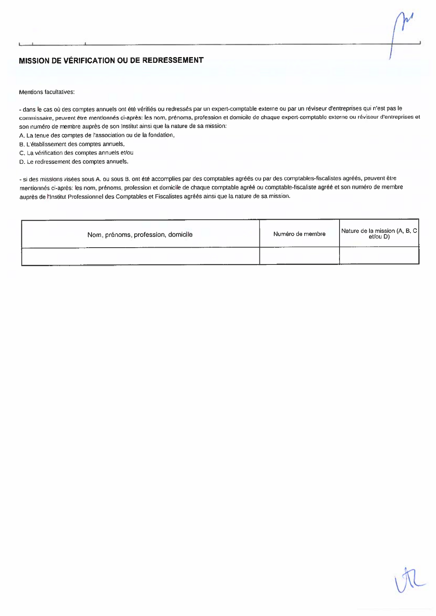# MISSION DE VÉRIFICATION OU DE REDRESSEMENT

Mentions facultatives:

- dans le cas où des comptes annuels ont été vérifiés ou redressés par un expert-comptable externe ou par un réviseur d'entreprises qui n'est pas le commissaire, peuvent être mentionnés ci-après: les nom, prénoms, profession et domicile de chaque expert-comptable externe ou réviseur d'entreprises et son numéro de membre auprès de son Institut ainsi que la nature de sa mission:

- A. La tenue des comptes de l'association ou de la fondation,
- B. L'établissement des comptes annuels,
- C. La vérification des comptes annuels et/ou
- D. Le redressement des comptes annuels.

- si des missions visées sous A. ou sous B. ont été accomplies par des comptables agréés ou par des comptables-fiscalistes agréés, peuvent être mentionnés ci-après: les nom, prénoms, profession et domicile de chaque comptable agréé ou comptable-fiscaliste agréé et son numéro de membre auprès de l'institut Professionnel des Comptables et Fiscalistes agréés ainsi que la nature de sa mission.

| Nom, prénoms, profession, domicile | Numéro de membre | Nature de la mission (A, B, C<br>et/ou D) |
|------------------------------------|------------------|-------------------------------------------|
|                                    |                  |                                           |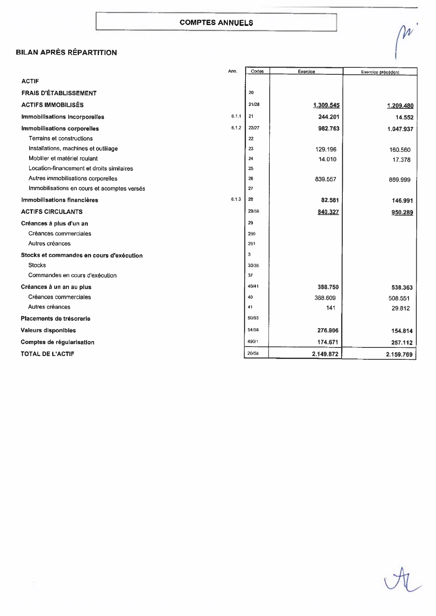# **BILAN APRÈS RÉPARTITION**

|                                             | Ann.  | Codes | Exercice  | Exercice précédent |
|---------------------------------------------|-------|-------|-----------|--------------------|
| <b>ACTIF</b>                                |       |       |           |                    |
| <b>FRAIS D'ÉTABLISSEMENT</b>                |       | 20    |           |                    |
| <b>ACTIFS IMMOBILISÉS</b>                   |       | 21/28 | 1.309.545 | 1.209.480          |
| Immobilisations incorporelles               | 6.1.1 | 21    | 244.201   | 14.552             |
| Immobilisations corporelles                 | 6.1.2 | 22/27 | 982.763   | 1.047.937          |
| Terrains et constructions                   |       | 22    |           |                    |
| Installations, machines et outiliage        |       | 23    | 129.196   | 160,560            |
| Mobilier et matériel roulant                |       | 24    | 14.010    | 17.378             |
| Location-financement et droits similaires   |       | 25    |           |                    |
| Autres immobilisations corporelles          |       | 26    | 839.557   | 869.999            |
| Immobilisations en cours et acomptes versés |       | 27    |           |                    |
| Immobilisations financières                 | 6.1.3 | 28    | 82.581    | 146.991            |
| <b>ACTIFS CIRCULANTS</b>                    |       | 29/58 | 840.327   | 950.289            |
| Créances à plus d'un an                     |       | 29    |           |                    |
| Créances commerciales                       |       | 290   |           |                    |
| Autres créances                             |       | 291   |           |                    |
| Stocks et commandes en cours d'exécution    |       | 3     |           |                    |
| <b>Stocks</b>                               |       | 30/36 |           |                    |
| Commandes en cours d'exécution              |       | 37    |           |                    |
| Créances à un an au plus                    |       | 40/41 | 388.750   | 538.363            |
| Créances commerciales                       |       | 40    | 388,609   | 508.551            |
| Autres créances                             |       | 41    | 141       | 29.812             |
| Placements de trésorerie                    |       | 50/53 |           |                    |
| <b>Valeurs disponibles</b>                  |       | 54/58 | 276.906   | 154.814            |
| Comptes de régularisation                   |       | 490/1 | 174.671   | 257.112            |
| <b>TOTAL DE L'ACTIF</b>                     |       | 20/58 | 2.149.872 | 2.159.769          |

M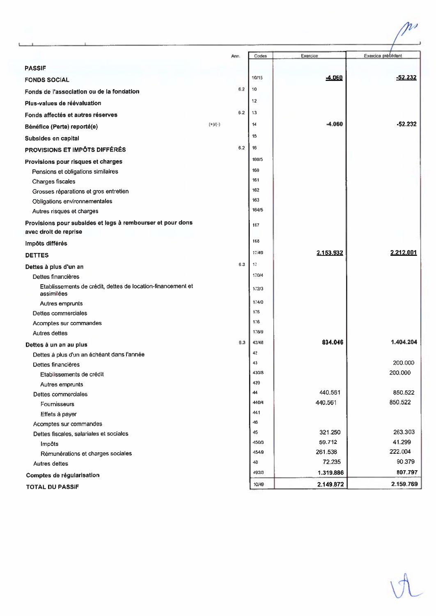|                                                             | Ann.      | Codes       | Exercice  | <b>Exercice precedent</b> |
|-------------------------------------------------------------|-----------|-------------|-----------|---------------------------|
| <b>PASSIF</b>                                               |           |             |           |                           |
|                                                             |           | 10/15       | 4.060     | $-52.232$                 |
| <b>FONDS SOCIAL</b>                                         | 6.2       | 10          |           |                           |
| Fonds de l'association ou de la fondation                   |           |             |           |                           |
| Plus-values de réévaluation                                 |           | 12          |           |                           |
| Fonds affectés et autres réserves                           | 62        | 13          |           |                           |
| Bénéfice (Perte) reporté(e)                                 | $(*)$ (-) | 14          | $-4.060$  | $-52.232$                 |
| Subsides en capital                                         |           | 15          |           |                           |
| PROVISIONS ET IMPÔTS DIFFÉRÉS                               | 6.2       | 16          |           |                           |
| Provisions pour risques et charges                          |           | 160/5       |           |                           |
| Pensions et obligations similaires                          |           | 160         |           |                           |
| Charges fiscales                                            |           | 161         |           |                           |
| Grosses réparations et gros entretien                       |           | 162         |           |                           |
| Obligations environnementales                               |           | 163         |           |                           |
| Autres risques et charges                                   |           | 164/5       |           |                           |
| Provisions pour subsides et legs à rembourser et pour dons  |           | 167         |           |                           |
| avec drolt de reprise                                       |           |             |           |                           |
| Impôts différés                                             |           | 168         |           |                           |
| <b>DETTES</b>                                               |           | 17/49       | 2.153.932 | 2.212.001                 |
| Dettes à plus d'un an                                       | 6.3       | 17          |           |                           |
| Dettes financières                                          |           | 170/4       |           |                           |
| Etablissements de crédit, dettes de location-financement et |           | 172/3       |           |                           |
| assimilées                                                  |           |             |           |                           |
| Autres emprunts                                             |           | 174/0       |           |                           |
| Dettes commerciales                                         |           | 175         |           |                           |
| Acomptes sur commandes                                      |           | 176         |           |                           |
| Autres dettes                                               |           | 178/9       |           |                           |
| Dettes à un an au plus                                      | 6.3       | 42/48       | 834.046   | 1.404.204                 |
| Dettes à plus d'un an échéant dans l'année                  |           | 42          |           |                           |
| Dettes financières                                          |           | 43          |           | 200.000                   |
| Etablissements de crédit                                    |           | 430/8       |           | 200.000                   |
| Autres emprunts                                             |           | 439         | 440.561   |                           |
| Dettes commerciales                                         |           | 44<br>440/4 | 440.561   | 850.522<br>850.522        |
| Fournisseurs                                                |           | 441         |           |                           |
| Effets à payer                                              |           | 46          |           |                           |
| Acomptes sur commandes                                      |           | 45          | 321,250   | 263.303                   |
| Dettes fiscales, salariales et sociales                     |           | 450/3       | 59.712    | 41.299                    |
| Impôts<br>Rémunérations et charges sociales                 |           | 454/9       | 261.538   | 222.004                   |
| Autres dettes                                               |           | 48          | 72,235    | 90.379                    |
|                                                             |           | 492/3       | 1.319.886 | 807.797                   |
| Comptes de régularisation<br><b>TOTAL DU PASSIF</b>         |           | 10/49       | 2.149.872 | 2.159.769                 |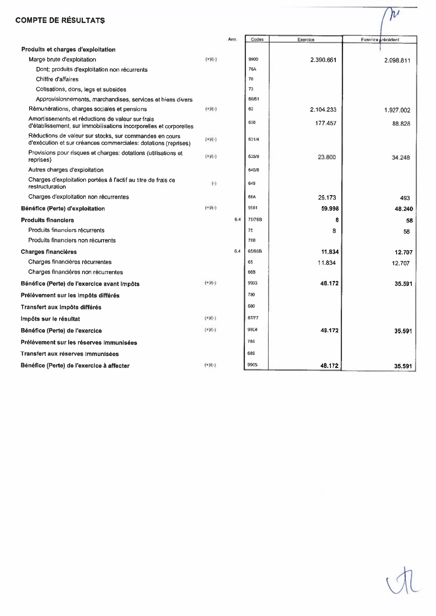# **COMPTE DE RÉSULTATS**

|                                                                                                                           |                                      | Ann. | Codes      | Exercice  |                   |
|---------------------------------------------------------------------------------------------------------------------------|--------------------------------------|------|------------|-----------|-------------------|
| Produits et charges d'exploitation                                                                                        |                                      |      |            |           | Exercice récédent |
| Marge brute d'exploitation                                                                                                | $(+)$ (-)                            |      | 9900       | 2.390.661 | 2.098.811         |
| Dont: produits d'exploitation non récurrents                                                                              |                                      |      | <b>76A</b> |           |                   |
| Chiffre d'affaires                                                                                                        |                                      |      | 70         |           |                   |
| Cotisations, dons, legs et subsides                                                                                       |                                      |      | 73         |           |                   |
| Approvisionnements, marchandises, services et biens divers                                                                |                                      |      | 60/61      |           |                   |
| Rémunérations, charges sociales et pensions                                                                               | $(+)$ /(-)                           |      | 62         | 2.104.233 | 1.927.002         |
| Amortissements et réductions de valeur sur frais<br>d'établissement, sur immobilisations incorporelles et corporelles     |                                      |      | 630        | 177.457   | 88.828            |
| Réductions de valeur sur stocks, sur commandes en cours<br>d'exécution et sur créances commerciales: dotations (reprises) | $(+)$ /(-)                           |      | 631/4      |           |                   |
| Provisions pour risques et charges: dotations (utilisations et<br>reprises)                                               | $(*)$ (-)                            |      | 635/9      | 23,800    | 34,248            |
| Autres charges d'exploitation                                                                                             |                                      |      | 640/8      |           |                   |
| Charges d'exploitation portées à l'actif au titre de frais de<br>restructuration                                          | $(\cdot)$                            |      | 649        |           |                   |
| Charges d'exploitation non récurrentes                                                                                    |                                      |      | 66A        | 25.173    | 493               |
| Bénéfice (Perte) d'exploitation                                                                                           | $(+)$ W - $)$                        |      | 9901       | 59.998    | 48.240            |
| <b>Produits financiers</b>                                                                                                |                                      | 6.4  | 75/76B     | 8         | 58                |
| Produits financiers récurrents                                                                                            |                                      |      | 75         | 8         | 58                |
| Produits financiers non recurrents                                                                                        |                                      |      | 768        |           |                   |
| <b>Charges financières</b>                                                                                                |                                      | 6.4  | 65/66B     | 11.834    | 12.707            |
| Charges financières récurrentes                                                                                           |                                      |      | 65         | 11.834    | 12.707            |
| Charges financières non récurrentes                                                                                       |                                      |      | 66B        |           |                   |
| Bénéfice (Perte) de l'exercice avant Impôts                                                                               | $(+)$ <sup>(+</sup> ) <sup>(-)</sup> |      | 9903       | 48.172    | 35.591            |
| Prélèvement sur les impôts différés                                                                                       |                                      |      | 780        |           |                   |
| Transfert aux impôts différés                                                                                             |                                      |      | 680        |           |                   |
| Impôts sur le résultat                                                                                                    | $(+1)(-)$                            |      | 67/77      |           |                   |
| Bénéfice (Perte) de l'exercice                                                                                            | $(+)$ <sup>(-)</sup>                 |      | 9904       | 48.172    | 35.591            |
| Prélèvement sur les réserves immunisées                                                                                   |                                      |      | 789        |           |                   |
| Transfert aux réserves Immunisées                                                                                         |                                      |      | 689        |           |                   |
| Bénéfice (Perte) de l'exercice à affecter                                                                                 | $(+)$ V(-)                           |      | 9905       | 48.172    | 35.591            |

 $\gamma_{\!\nu}$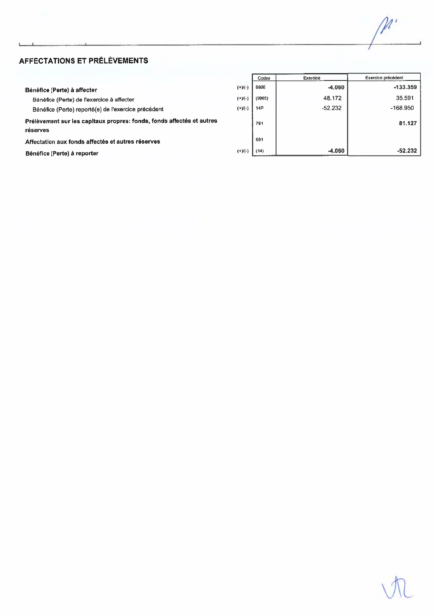┯

Ξ

# AFFECTATIONS ET PRÉLÈVEMENTS

|                                                                                   |              | Codes      | <b>Exercice</b> | <b>Exercice precedent</b> |
|-----------------------------------------------------------------------------------|--------------|------------|-----------------|---------------------------|
| Bénéfice (Perte) à affecter                                                       | $(*)(-)$     | 9906       | $-4.060$        | $-133.359$                |
| Bénéfice (Perte) de l'exercice à affecter                                         | $(+)(-)$     | (9905)     | 48.172          | 35.591                    |
| Bénéfice (Perte) reporté(e) de l'exercice précédent                               | $(+)(\cdot)$ | <b>14P</b> | $-52.232$       | $-168.950$                |
| Prélèvement sur les capitaux propres: fonds, fonds affectés et autres<br>réserves |              | 791        |                 | 81.127                    |
| Affectation aux fonds affectés et autres réserves                                 |              | 691        |                 |                           |
| Bénéfice (Perte) à reporter                                                       | $(+)(-)$     | (14)       | $-4.060$        | $-52.232$                 |
|                                                                                   |              |            |                 |                           |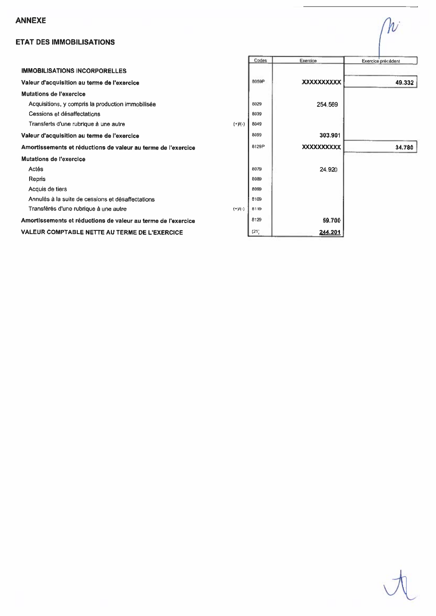# **ANNEXE**

# **ETAT DES IMMOBILISATIONS**

|                                                               |               | Codes | Exercice          | Exercice précédent |
|---------------------------------------------------------------|---------------|-------|-------------------|--------------------|
| <b>IMMOBILISATIONS INCORPORELLES</b>                          |               |       |                   |                    |
| Valeur d'acquisition au terme de l'exercice                   |               | 8059P | <b>XXXXXXXXXX</b> | 49.332             |
| Mutations de l'exercice                                       |               |       |                   |                    |
| Acquisitions, y compris la production immobilisée             |               | 8029  | 254.569           |                    |
| Cessions et désaffectations                                   |               | 8039  |                   |                    |
| Transferts d'une rubrique à une autre                         | $(+)$ / $(-)$ | 8049  |                   |                    |
| Valeur d'acquisition au terme de l'exercice                   |               | 8059  | 303.901           |                    |
| Amortissements et réductions de valeur au terme de l'exercice |               | 8129P | <b>XXXXXXXXXX</b> | 34.780             |
| <b>Mutations de l'exercice</b>                                |               |       |                   |                    |
| Actés                                                         |               | 8079  | 24.920            |                    |
| Repris                                                        |               | 8089  |                   |                    |
| Acquis de tiers                                               |               | 8099  |                   |                    |
| Annulés à la suite de cessions et désaffectations             |               | 8109  |                   |                    |
| Transférés d'une rubrique à une autre                         | $(+)(-)$      | 8119  |                   |                    |
| Amortissements et réductions de valeur au terme de l'exercice |               | 8129  | 59.700            |                    |
| <b>VALEUR COMPTABLE NETTE AU TERME DE L'EXERCICE</b>          |               | (21)  | 244.201           |                    |

W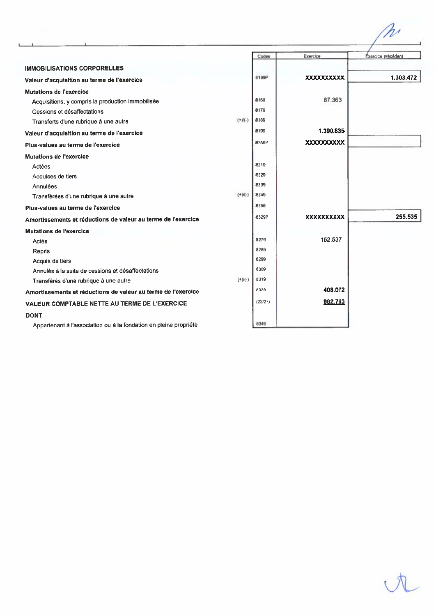|                                                                   |            | Codes   | Exercice          | Éxercice précédent |
|-------------------------------------------------------------------|------------|---------|-------------------|--------------------|
| <b>IMMOBILISATIONS CORPORELLES</b>                                |            |         |                   |                    |
| Valeur d'acquisition au terme de l'exercice                       |            | 8199P   | <b>XXXXXXXXXX</b> | 1.303.472          |
| <b>Mutations de l'exercice</b>                                    |            |         |                   |                    |
| Acquisitions, y compris la production immobilisée                 |            | 8169    | 87.363            |                    |
| Cessions et désaffectations                                       |            | 8179    |                   |                    |
| Transferts d'une rubrique à une autre                             | $(+1)(-)$  | 8189    |                   |                    |
| Valeur d'acquisition au terme de l'exercice                       |            | 8199    | 1.390.835         |                    |
| Plus-values au terme de l'exercice                                |            | 8259P   | <b>XXXXXXXXXX</b> |                    |
| Mutations de l'exercice                                           |            |         |                   |                    |
| Actées                                                            |            | 8219    |                   |                    |
| Acquises de tiers                                                 |            | 8229    |                   |                    |
| Annulées                                                          |            | 8239    |                   |                    |
| Transférées d'une rubrique à une autre                            | $(+1)(-)$  | 8249    |                   |                    |
| Plus-values au terme de l'exercice                                |            | 8259    |                   |                    |
| Amortissements et réductions de valeur au terme de l'exercice     |            | 8329P   | <b>XXXXXXXXXX</b> | 255.535            |
| Mutations de l'exercice                                           |            |         |                   |                    |
| Actés                                                             |            | 8279    | 152.537           |                    |
| Repris                                                            |            | 8289    |                   |                    |
| Acquis de tiers                                                   |            | 8299    |                   |                    |
| Annulés à la suite de cessions et désaffectations                 |            | 8309    |                   |                    |
| Transférés d'une rubrique à une autre                             | $(+)$ /(-) | 8319    |                   |                    |
| Amortissements et réductions de valeur au terme de l'exercice     |            | 8329    | 408.072           |                    |
| VALEUR COMPTABLE NETTE AU TERME DE L'EXERCICE                     |            | (22/27) | 982.763           |                    |
| <b>DONT</b>                                                       |            |         |                   |                    |
| Appartenant à l'association ou à la fondation en pleine propriété |            | 8349    |                   |                    |

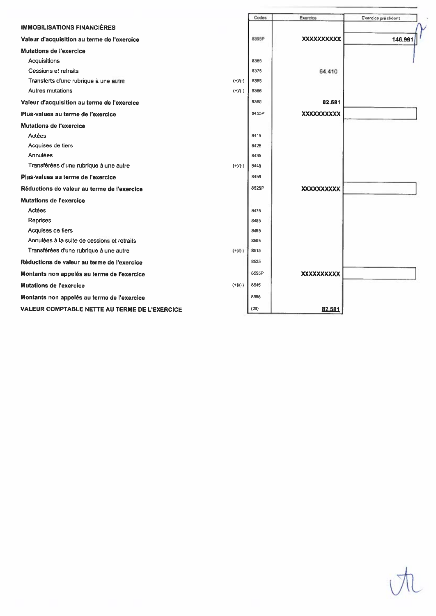|                                               |            | Codes | Exercice           | Exercice précédent |
|-----------------------------------------------|------------|-------|--------------------|--------------------|
| <b>IMMOBILISATIONS FINANCIERES</b>            |            |       |                    |                    |
| Valeur d'acquisition au terme de l'exercice   |            | 8395P | <b>XXXXXXXXXX</b>  | 146.991            |
| <b>Mutations de l'exercice</b>                |            |       |                    |                    |
| Acquisitions                                  |            | 8365  |                    |                    |
| Cessions et retraits                          |            | 8375  | 64.410             |                    |
| Transferts d'une rubrique à une autre         | $(+)(-)$   | 8385  |                    |                    |
| Autres mutations                              | $(+)(-)$   | 8386  |                    |                    |
| Valeur d'acquisition au terme de l'exercice   |            | 8395  | 82.581             |                    |
| Plus-values au terme de l'exercice            |            | 8455P | <b>XXXXXXXXXXX</b> |                    |
| Mutations de l'exercice                       |            |       |                    |                    |
| Actées                                        |            | 8415  |                    |                    |
| Acquises de tiers                             |            | 8425  |                    |                    |
| Annulées                                      |            | 8435  |                    |                    |
| Transférées d'une rubrique à une autre        | $(+)(-)$   | 8445  |                    |                    |
| Plus-values au terme de l'exercice            |            | 8455  |                    |                    |
| Réductions de valeur au terme de l'exercice   |            | 8525P | <b>XXXXXXXXXX</b>  |                    |
| <b>Mutations de l'exercice</b>                |            |       |                    |                    |
| Actées                                        |            | 8475  |                    |                    |
| Reprises                                      |            | 8485  |                    |                    |
| Acquises de tiers                             |            | 8495  |                    |                    |
| Annulées à la suite de cessions et retraits   |            | 8505  |                    |                    |
| Transférées d'une rubrique à une autre        | $(+)$ /(-) | 8515  |                    |                    |
| Réductions de valeur au terme de l'exercice   |            | 8525  |                    |                    |
| Montants non appelés au terme de l'exercice   |            | 8555P | <b>XXXXXXXXXXX</b> |                    |
| <b>Mutations de l'exercice</b>                | $(+)(-)$   | 8545  |                    |                    |
| Montants non appelés au terme de l'exercice   |            | 8555  |                    |                    |
| VALEUR COMPTABLE NETTE AU TERME DE L'EXERCICE |            | (28)  | 82.581             |                    |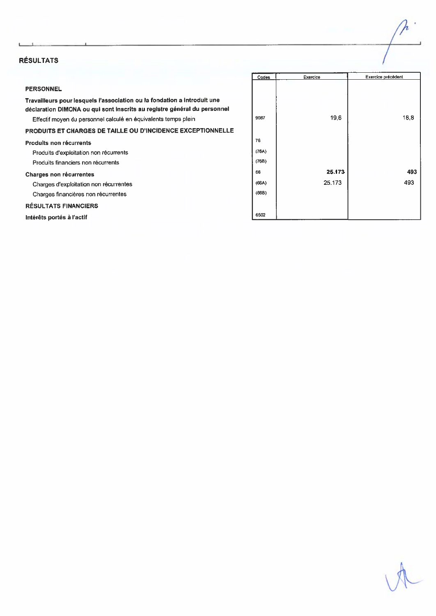## **RÉSULTATS**

## **PERSONNEL**

Travailleurs pour lesquels l'association ou la fondation a introduit une déclaration DIMONA ou qui sont inscrits au registre général du personnel Effectif moyen du personnel calculé en équivalents temps plein

PRODUITS ET CHARGES DE TAILLE OU D'INCIDENCE EXCEPTIONNELLE

## Produits non récurrents

Produits d'exploitation non récurrents Produits financiers non récurrents **Charges non récurrentes** Charges d'exploitation non récurrentes

Charges financières non récurrentes

## **RÉSULTATS FINANCIERS**

Intérêts portés à l'actif

| Codes | Exercice | Exercice précédent |
|-------|----------|--------------------|
| 9087  | 19,6     | 18,8               |
| 76    |          |                    |
| (76A) |          |                    |
| (76B) |          |                    |
| 66    | 25.173   | 493                |
| (66A) | 25.173   | 493                |
| (66B) |          |                    |
|       |          |                    |
| 6502  |          |                    |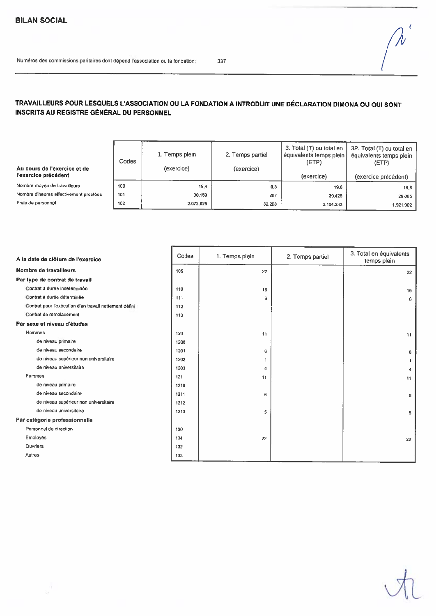337

# TRAVAILLEURS POUR LESQUELS L'ASSOCIATION OU LA FONDATION A INTRODUIT UNE DÉCLARATION DIMONA OU QUI SONT INSCRITS AU REGISTRE GÉNÉRAL DU PERSONNEL

| Au cours de l'exercice et de<br>l'exercice précédent | Codes | 1. Temps plein<br>(exercice) | 2. Temps partiel<br>(exercice) | 3. Total (T) ou total en<br>équivalents temps plein  <br>(ETP)<br>(exercice) | 3P. Total (T) ou total en '<br>équivalents temps plein<br>(ETP)<br>(exercice précédent) |
|------------------------------------------------------|-------|------------------------------|--------------------------------|------------------------------------------------------------------------------|-----------------------------------------------------------------------------------------|
| Nombre moyen de travailleurs                         | 100   | 19,4                         | 0,3                            | 19.6                                                                         | 18.8                                                                                    |
| Nombre d'heures effectivement prestées               | 101   | 30.159                       | 267                            | 30.426                                                                       | 29.085                                                                                  |
| Frais de personnel                                   | 102   | 2.072.025                    | 32.208                         | 2.104.233                                                                    | 1.921.002                                                                               |

| A la date de clôture de l'exercice                     | Codes | 1. Temps plein | 2. Temps partiel | 3. Total en équivalents<br>temps plein |
|--------------------------------------------------------|-------|----------------|------------------|----------------------------------------|
| Nombre de travailleurs                                 | 105   | 22             |                  | 22                                     |
| Par type de contrat de travail                         |       |                |                  |                                        |
| Contrat à durée indéterminée                           | 110   | 16             |                  | 16                                     |
| Contrat à durée déterminée                             | 111   | 6              |                  | 6                                      |
| Contrat pour l'exécution d'un travail nettement défini | 112   |                |                  |                                        |
| Contrat de remplacement                                | 113   |                |                  |                                        |
| Par sexe et niveau d'études                            |       |                |                  |                                        |
| Hommes                                                 | 120   | 11             |                  | 11                                     |
| de niveau primaire                                     | 1200  |                |                  |                                        |
| de niveau secondaire                                   | 1201  | 6              |                  | 6                                      |
| de niveau supérieur non universitaire                  | 1202  | -1             |                  |                                        |
| de niveau universitaire                                | 1203  | 4              |                  |                                        |
| Femmes                                                 | 121   | 11             |                  | 11                                     |
| de niveau primaire                                     | 1210  |                |                  |                                        |
| de niveau secondaire                                   | 1211  | 6              |                  | 6                                      |
| de niveau supérieur non universitaire                  | 1212  |                |                  |                                        |
| de niveau universitaire                                | 1213  | 5              |                  | 5                                      |
| Par catégorie professionnelle                          |       |                |                  |                                        |
| Personnel de direction                                 | 130   |                |                  |                                        |
| Employés                                               | 134   | 22             |                  | 22                                     |
| Ouvriers                                               | 132   |                |                  |                                        |
| Autres                                                 | 133   |                |                  |                                        |

 $\sqrt{ }$ 

 $\hat{\lambda}$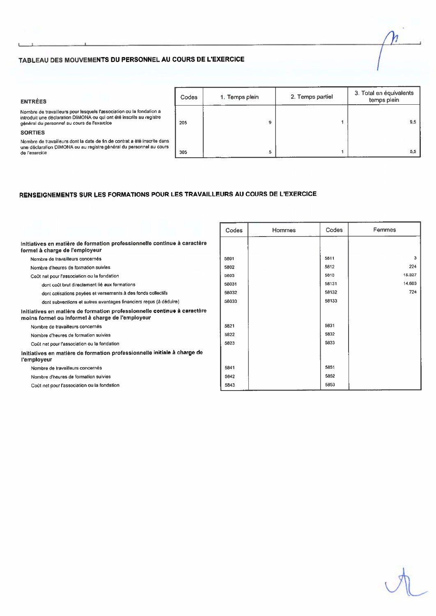## TABLEAU DES MOUVEMENTS DU PERSONNEL AU COURS DE L'EXERCICE

## **ENTRÉES**

Nombre de travailleurs pour lesquels l'association ou la fondation a<br>introduit une déclaration DIMONA ou qui ont été inscrits au registre général du personnel au cours de l'exercice

## **SORTIES**

Nombre de travail eurs dont la date de fin de contrat a été inscrite dans composito de las caracterizadas de un todo contrat a été inscrite dans une déclaration DIMONA ou au registre général du personnel au cours<br>de l'exercice

| Codes | 1. Temps plein | 2. Temps partiel | 3. Total en équivalents<br>temps plein |
|-------|----------------|------------------|----------------------------------------|
| 205   | 9              |                  | 9,5                                    |
| 305   | 5              |                  | 5,5                                    |

## RENSEIGNEMENTS SUR LES FORMATIONS POUR LES TRAVAILLEURS AU COURS DE L'EXERCICE

|                                                                                                                              | Codes | <b>Hommes</b> | Codes | Femmes |
|------------------------------------------------------------------------------------------------------------------------------|-------|---------------|-------|--------|
| Initiatives en matière de formation professionnelle continue à caractère<br>formel à charge de l'employeur                   |       |               |       |        |
| Nombre de travailleurs concernés                                                                                             | 5801  |               | 5811  | 3      |
| Nombre d'heures de formation suivies                                                                                         | 5802  |               | 5812  | 224    |
| Coût net pour l'association ou la fondation                                                                                  | 5803  |               | 5813  | 15.327 |
| dont coût brut directement lié aux formations                                                                                | 58031 |               | 58131 | 14.603 |
| dont cotisations payées et versements à des fonds collectifs                                                                 | 58032 |               | 58132 | 724    |
| dont subventions et autres avantages financiers reçus (à déduire)                                                            | 58033 |               | 58133 |        |
| Initiatives en matière de formation professionnelle continue à caractère<br>moins formel ou informel à charge de l'employeur |       |               |       |        |
| Nombre de travailleurs concernés                                                                                             | 5821  |               | 5831  |        |
| Nombre d'heures de formation suivies                                                                                         | 5822  |               | 5832  |        |
| Coût net pour l'association ou la fondation                                                                                  | 5823  |               | 5833  |        |
| Initiatives en matière de formation professionnelle initiale à charge de<br>l'employeur                                      |       |               |       |        |
| Nombre de travailleurs concernés                                                                                             | 5841  |               | 5851  |        |
| Nombre d'heures de formation suivies                                                                                         | 5842  |               | 5852  |        |
| Coût net pour l'association ou la fondation                                                                                  | 5843  |               | 5853  |        |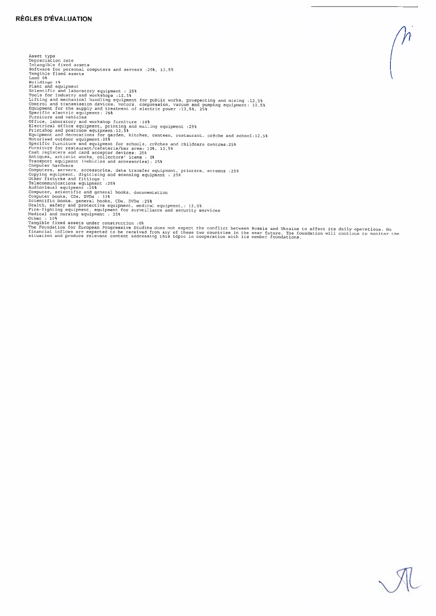Americalist (see and converte and mercury .251, 12,51<br>
(see and and converte and mercury .251, 12,51<br>
Translation of the same computer and mercury .251<br>
point and computer and mercury and mercury and mercury and mercury an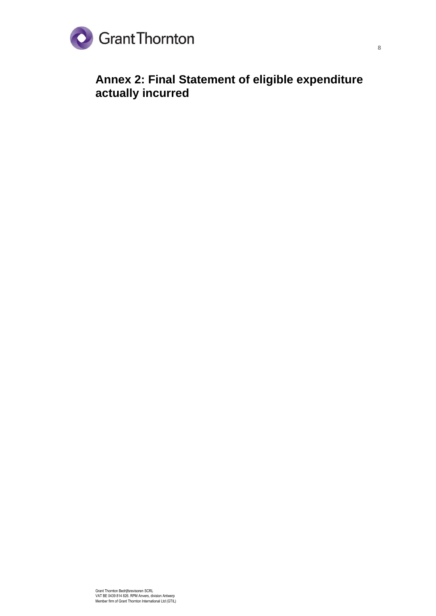

**Annex 2: Final Statement of eligible expenditure actually incurred**